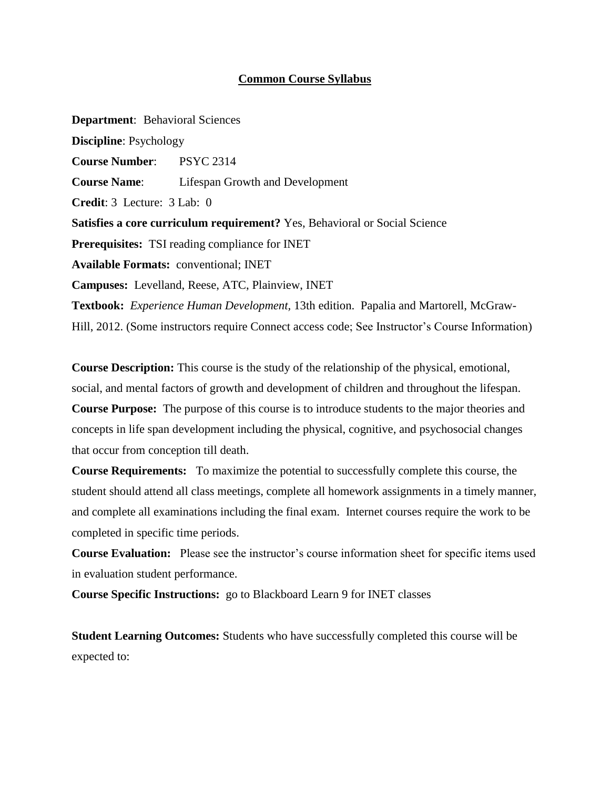#### **Common Course Syllabus**

**Department**: Behavioral Sciences **Discipline**: Psychology **Course Number**: PSYC 2314 **Course Name**: Lifespan Growth and Development **Credit**: 3 Lecture: 3 Lab: 0 **Satisfies a core curriculum requirement?** Yes, Behavioral or Social Science **Prerequisites:** TSI reading compliance for INET **Available Formats:** conventional; INET **Campuses:** Levelland, Reese, ATC, Plainview, INET **Textbook:** *Experience Human Development,* 13th edition. Papalia and Martorell, McGraw-Hill, 2012. (Some instructors require Connect access code; See Instructor's Course Information)

**Course Description:** This course is the study of the relationship of the physical, emotional, social, and mental factors of growth and development of children and throughout the lifespan. **Course Purpose:** The purpose of this course is to introduce students to the major theories and concepts in life span development including the physical, cognitive, and psychosocial changes that occur from conception till death.

**Course Requirements:** To maximize the potential to successfully complete this course, the student should attend all class meetings, complete all homework assignments in a timely manner, and complete all examinations including the final exam. Internet courses require the work to be completed in specific time periods.

**Course Evaluation:** Please see the instructor's course information sheet for specific items used in evaluation student performance.

**Course Specific Instructions:** go to Blackboard Learn 9 for INET classes

**Student Learning Outcomes:** Students who have successfully completed this course will be expected to: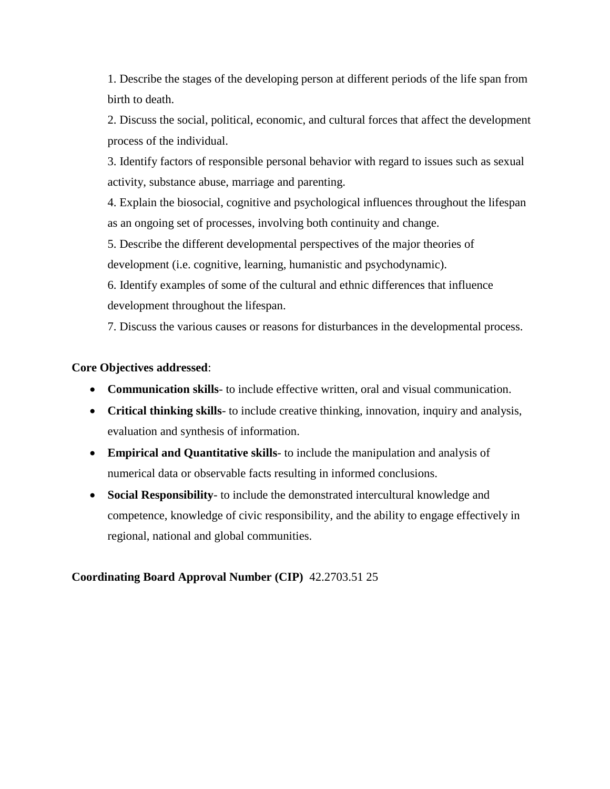1. Describe the stages of the developing person at different periods of the life span from birth to death.

2. Discuss the social, political, economic, and cultural forces that affect the development process of the individual.

3. Identify factors of responsible personal behavior with regard to issues such as sexual activity, substance abuse, marriage and parenting.

4. Explain the biosocial, cognitive and psychological influences throughout the lifespan as an ongoing set of processes, involving both continuity and change.

5. Describe the different developmental perspectives of the major theories of development (i.e. cognitive, learning, humanistic and psychodynamic).

6. Identify examples of some of the cultural and ethnic differences that influence development throughout the lifespan.

7. Discuss the various causes or reasons for disturbances in the developmental process.

## **Core Objectives addressed**:

- **Communication skills** to include effective written, oral and visual communication.
- **Critical thinking skills** to include creative thinking, innovation, inquiry and analysis, evaluation and synthesis of information.
- **Empirical and Quantitative skills** to include the manipulation and analysis of numerical data or observable facts resulting in informed conclusions.
- **Social Responsibility** to include the demonstrated intercultural knowledge and competence, knowledge of civic responsibility, and the ability to engage effectively in regional, national and global communities.

## **Coordinating Board Approval Number (CIP)** 42.2703.51 25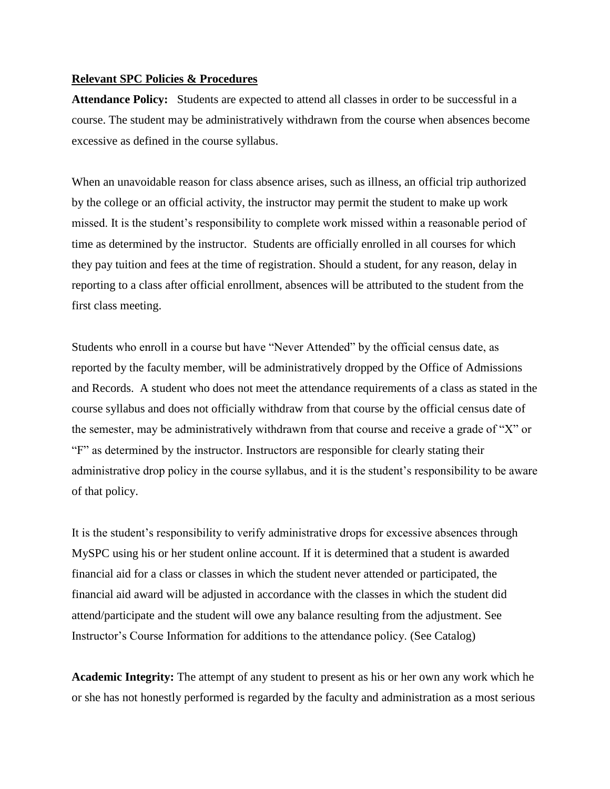#### **Relevant SPC Policies & Procedures**

**Attendance Policy:** Students are expected to attend all classes in order to be successful in a course. The student may be administratively withdrawn from the course when absences become excessive as defined in the course syllabus.

When an unavoidable reason for class absence arises, such as illness, an official trip authorized by the college or an official activity, the instructor may permit the student to make up work missed. It is the student's responsibility to complete work missed within a reasonable period of time as determined by the instructor. Students are officially enrolled in all courses for which they pay tuition and fees at the time of registration. Should a student, for any reason, delay in reporting to a class after official enrollment, absences will be attributed to the student from the first class meeting.

Students who enroll in a course but have "Never Attended" by the official census date, as reported by the faculty member, will be administratively dropped by the Office of Admissions and Records. A student who does not meet the attendance requirements of a class as stated in the course syllabus and does not officially withdraw from that course by the official census date of the semester, may be administratively withdrawn from that course and receive a grade of "X" or "F" as determined by the instructor. Instructors are responsible for clearly stating their administrative drop policy in the course syllabus, and it is the student's responsibility to be aware of that policy.

It is the student's responsibility to verify administrative drops for excessive absences through MySPC using his or her student online account. If it is determined that a student is awarded financial aid for a class or classes in which the student never attended or participated, the financial aid award will be adjusted in accordance with the classes in which the student did attend/participate and the student will owe any balance resulting from the adjustment. See Instructor's Course Information for additions to the attendance policy. (See Catalog)

**Academic Integrity:** The attempt of any student to present as his or her own any work which he or she has not honestly performed is regarded by the faculty and administration as a most serious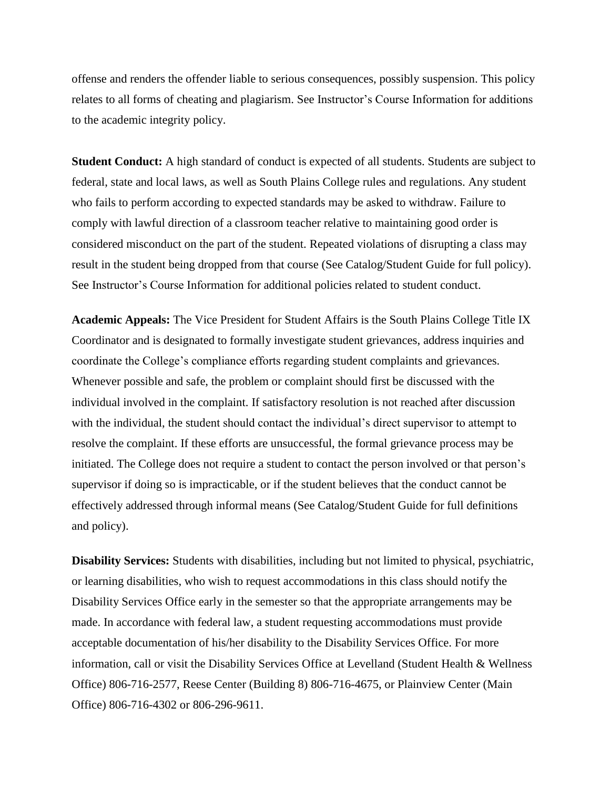offense and renders the offender liable to serious consequences, possibly suspension. This policy relates to all forms of cheating and plagiarism. See Instructor's Course Information for additions to the academic integrity policy.

**Student Conduct:** A high standard of conduct is expected of all students. Students are subject to federal, state and local laws, as well as South Plains College rules and regulations. Any student who fails to perform according to expected standards may be asked to withdraw. Failure to comply with lawful direction of a classroom teacher relative to maintaining good order is considered misconduct on the part of the student. Repeated violations of disrupting a class may result in the student being dropped from that course (See Catalog/Student Guide for full policy). See Instructor's Course Information for additional policies related to student conduct.

**Academic Appeals:** The Vice President for Student Affairs is the South Plains College Title IX Coordinator and is designated to formally investigate student grievances, address inquiries and coordinate the College's compliance efforts regarding student complaints and grievances. Whenever possible and safe, the problem or complaint should first be discussed with the individual involved in the complaint. If satisfactory resolution is not reached after discussion with the individual, the student should contact the individual's direct supervisor to attempt to resolve the complaint. If these efforts are unsuccessful, the formal grievance process may be initiated. The College does not require a student to contact the person involved or that person's supervisor if doing so is impracticable, or if the student believes that the conduct cannot be effectively addressed through informal means (See Catalog/Student Guide for full definitions and policy).

**Disability Services:** Students with disabilities, including but not limited to physical, psychiatric, or learning disabilities, who wish to request accommodations in this class should notify the Disability Services Office early in the semester so that the appropriate arrangements may be made. In accordance with federal law, a student requesting accommodations must provide acceptable documentation of his/her disability to the Disability Services Office. For more information, call or visit the Disability Services Office at Levelland (Student Health & Wellness Office) 806-716-2577, Reese Center (Building 8) 806-716-4675, or Plainview Center (Main Office) 806-716-4302 or 806-296-9611.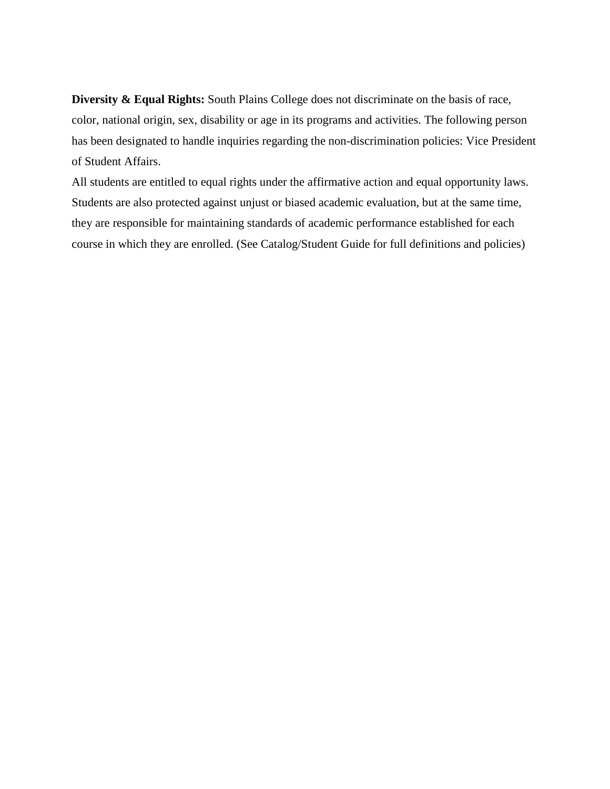**Diversity & Equal Rights:** South Plains College does not discriminate on the basis of race, color, national origin, sex, disability or age in its programs and activities. The following person has been designated to handle inquiries regarding the non-discrimination policies: Vice President of Student Affairs.

All students are entitled to equal rights under the affirmative action and equal opportunity laws. Students are also protected against unjust or biased academic evaluation, but at the same time, they are responsible for maintaining standards of academic performance established for each course in which they are enrolled. (See Catalog/Student Guide for full definitions and policies)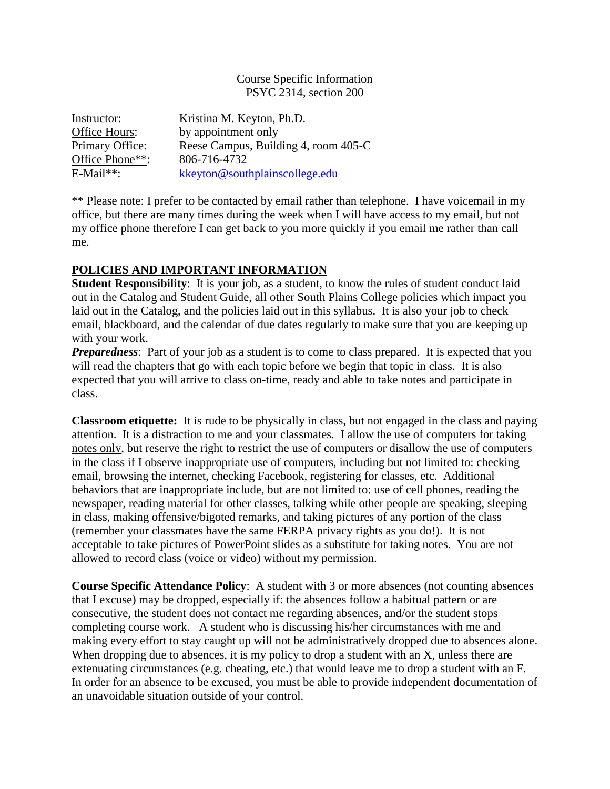#### Course Specific Information PSYC 2314, section 200

| Instructor:     | Kristina M. Keyton, Ph.D.            |
|-----------------|--------------------------------------|
| Office Hours:   | by appointment only                  |
| Primary Office: | Reese Campus, Building 4, room 405-C |
| Office Phone**: | 806-716-4732                         |
| $E$ -Mail**:    | kkeyton@southplainscollege.edu       |

\*\* Please note: I prefer to be contacted by email rather than telephone. I have voicemail in my office, but there are many times during the week when I will have access to my email, but not my office phone therefore I can get back to you more quickly if you email me rather than call me.

## **POLICIES AND IMPORTANT INFORMATION**

**Student Responsibility:** It is your job, as a student, to know the rules of student conduct laid out in the Catalog and Student Guide, all other South Plains College policies which impact you laid out in the Catalog, and the policies laid out in this syllabus. It is also your job to check email, blackboard, and the calendar of due dates regularly to make sure that you are keeping up with your work.

**Preparedness**: Part of your job as a student is to come to class prepared. It is expected that you will read the chapters that go with each topic before we begin that topic in class. It is also expected that you will arrive to class on-time, ready and able to take notes and participate in class.

**Classroom etiquette:** It is rude to be physically in class, but not engaged in the class and paying attention. It is a distraction to me and your classmates. I allow the use of computers for taking notes only, but reserve the right to restrict the use of computers or disallow the use of computers in the class if I observe inappropriate use of computers, including but not limited to: checking email, browsing the internet, checking Facebook, registering for classes, etc. Additional behaviors that are inappropriate include, but are not limited to: use of cell phones, reading the newspaper, reading material for other classes, talking while other people are speaking, sleeping in class, making offensive/bigoted remarks, and taking pictures of any portion of the class (remember your classmates have the same FERPA privacy rights as you do!). It is not acceptable to take pictures of PowerPoint slides as a substitute for taking notes. You are not allowed to record class (voice or video) without my permission.

**Course Specific Attendance Policy**: A student with 3 or more absences (not counting absences that I excuse) may be dropped, especially if: the absences follow a habitual pattern or are consecutive, the student does not contact me regarding absences, and/or the student stops completing course work. A student who is discussing his/her circumstances with me and making every effort to stay caught up will not be administratively dropped due to absences alone. When dropping due to absences, it is my policy to drop a student with an X, unless there are extenuating circumstances (e.g. cheating, etc.) that would leave me to drop a student with an F. In order for an absence to be excused, you must be able to provide independent documentation of an unavoidable situation outside of your control.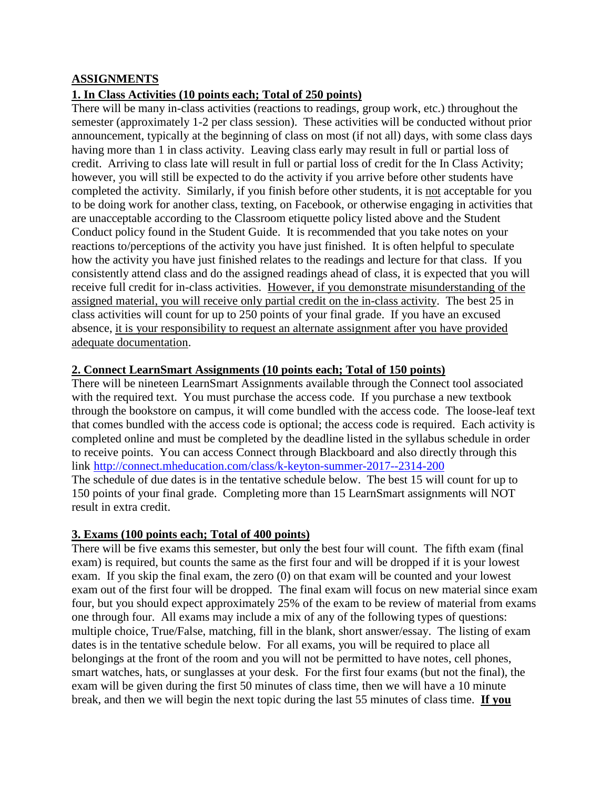## **ASSIGNMENTS**

## **1. In Class Activities (10 points each; Total of 250 points)**

There will be many in-class activities (reactions to readings, group work, etc.) throughout the semester (approximately 1-2 per class session). These activities will be conducted without prior announcement, typically at the beginning of class on most (if not all) days, with some class days having more than 1 in class activity. Leaving class early may result in full or partial loss of credit. Arriving to class late will result in full or partial loss of credit for the In Class Activity; however, you will still be expected to do the activity if you arrive before other students have completed the activity. Similarly, if you finish before other students, it is not acceptable for you to be doing work for another class, texting, on Facebook, or otherwise engaging in activities that are unacceptable according to the Classroom etiquette policy listed above and the Student Conduct policy found in the Student Guide. It is recommended that you take notes on your reactions to/perceptions of the activity you have just finished. It is often helpful to speculate how the activity you have just finished relates to the readings and lecture for that class. If you consistently attend class and do the assigned readings ahead of class, it is expected that you will receive full credit for in-class activities. However, if you demonstrate misunderstanding of the assigned material, you will receive only partial credit on the in-class activity. The best 25 in class activities will count for up to 250 points of your final grade. If you have an excused absence, it is your responsibility to request an alternate assignment after you have provided adequate documentation.

#### **2. Connect LearnSmart Assignments (10 points each; Total of 150 points)**

There will be nineteen LearnSmart Assignments available through the Connect tool associated with the required text. You must purchase the access code. If you purchase a new textbook through the bookstore on campus, it will come bundled with the access code. The loose-leaf text that comes bundled with the access code is optional; the access code is required. Each activity is completed online and must be completed by the deadline listed in the syllabus schedule in order to receive points. You can access Connect through Blackboard and also directly through this link <http://connect.mheducation.com/class/k-keyton-summer-2017--2314-200> The schedule of due dates is in the tentative schedule below. The best 15 will count for up to 150 points of your final grade. Completing more than 15 LearnSmart assignments will NOT result in extra credit.

#### **3. Exams (100 points each; Total of 400 points)**

There will be five exams this semester, but only the best four will count. The fifth exam (final exam) is required, but counts the same as the first four and will be dropped if it is your lowest exam. If you skip the final exam, the zero (0) on that exam will be counted and your lowest exam out of the first four will be dropped. The final exam will focus on new material since exam four, but you should expect approximately 25% of the exam to be review of material from exams one through four. All exams may include a mix of any of the following types of questions: multiple choice, True/False, matching, fill in the blank, short answer/essay. The listing of exam dates is in the tentative schedule below. For all exams, you will be required to place all belongings at the front of the room and you will not be permitted to have notes, cell phones, smart watches, hats, or sunglasses at your desk. For the first four exams (but not the final), the exam will be given during the first 50 minutes of class time, then we will have a 10 minute break, and then we will begin the next topic during the last 55 minutes of class time. **If you**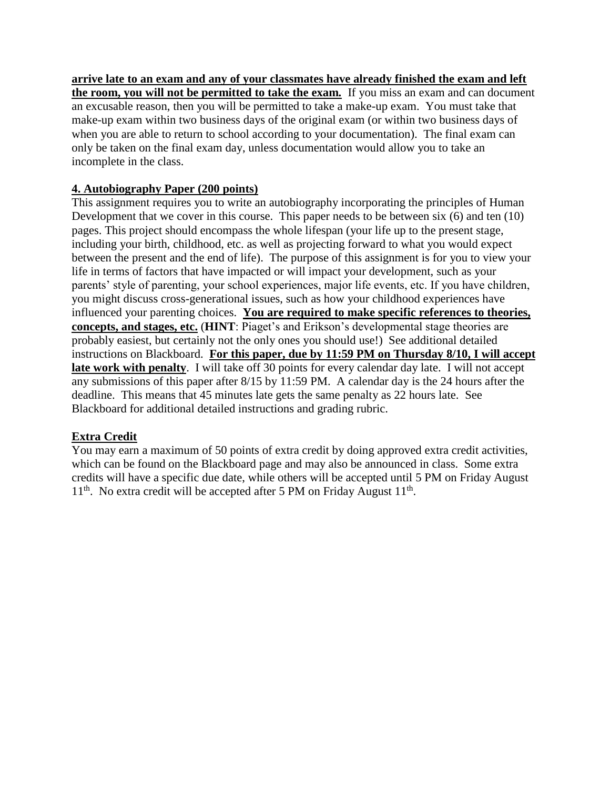**arrive late to an exam and any of your classmates have already finished the exam and left the room, you will not be permitted to take the exam***.* If you miss an exam and can document an excusable reason, then you will be permitted to take a make-up exam. You must take that make-up exam within two business days of the original exam (or within two business days of when you are able to return to school according to your documentation). The final exam can only be taken on the final exam day, unless documentation would allow you to take an incomplete in the class.

## **4. Autobiography Paper (200 points)**

This assignment requires you to write an autobiography incorporating the principles of Human Development that we cover in this course. This paper needs to be between six (6) and ten (10) pages. This project should encompass the whole lifespan (your life up to the present stage, including your birth, childhood, etc. as well as projecting forward to what you would expect between the present and the end of life). The purpose of this assignment is for you to view your life in terms of factors that have impacted or will impact your development, such as your parents' style of parenting, your school experiences, major life events, etc. If you have children, you might discuss cross-generational issues, such as how your childhood experiences have influenced your parenting choices. **You are required to make specific references to theories, concepts, and stages, etc.** (**HINT**: Piaget's and Erikson's developmental stage theories are probably easiest, but certainly not the only ones you should use!) See additional detailed instructions on Blackboard. **For this paper, due by 11:59 PM on Thursday 8/10, I will accept late work with penalty**. I will take off 30 points for every calendar day late. I will not accept any submissions of this paper after 8/15 by 11:59 PM. A calendar day is the 24 hours after the deadline. This means that 45 minutes late gets the same penalty as 22 hours late. See Blackboard for additional detailed instructions and grading rubric.

# **Extra Credit**

You may earn a maximum of 50 points of extra credit by doing approved extra credit activities, which can be found on the Blackboard page and may also be announced in class. Some extra credits will have a specific due date, while others will be accepted until 5 PM on Friday August 11<sup>th</sup>. No extra credit will be accepted after 5 PM on Friday August 11<sup>th</sup>.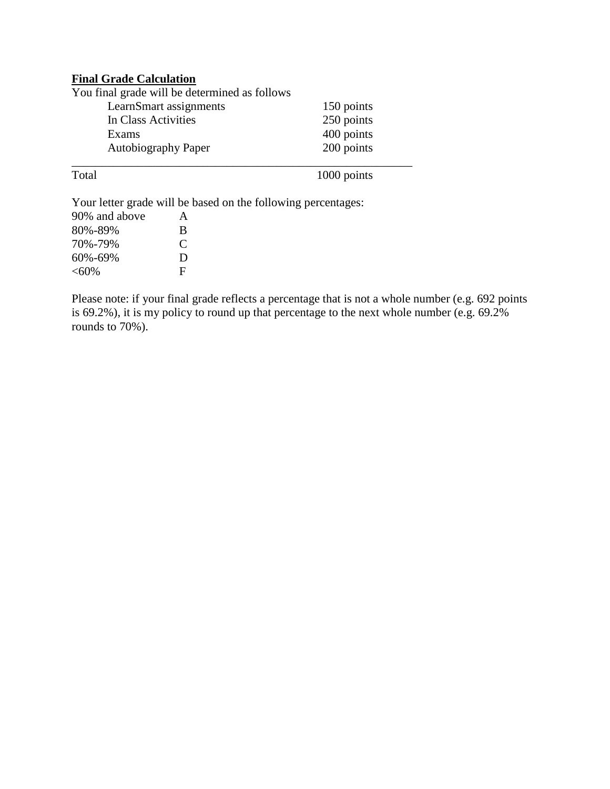### **Final Grade Calculation**

| You final grade will be determined as follows |            |
|-----------------------------------------------|------------|
| LearnSmart assignments                        | 150 points |
| In Class Activities                           | 250 points |
| Exams                                         | 400 points |
| <b>Autobiography Paper</b>                    | 200 points |
|                                               |            |

Total 1000 points

Your letter grade will be based on the following percentages:

| 90% and above | A             |
|---------------|---------------|
| 80%-89%       | B             |
| 70%-79%       | $\mathcal{C}$ |
| 60%-69%       | Ð             |
| $<$ 60%       | F             |

Please note: if your final grade reflects a percentage that is not a whole number (e.g. 692 points is 69.2%), it is my policy to round up that percentage to the next whole number (e.g. 69.2% rounds to 70%).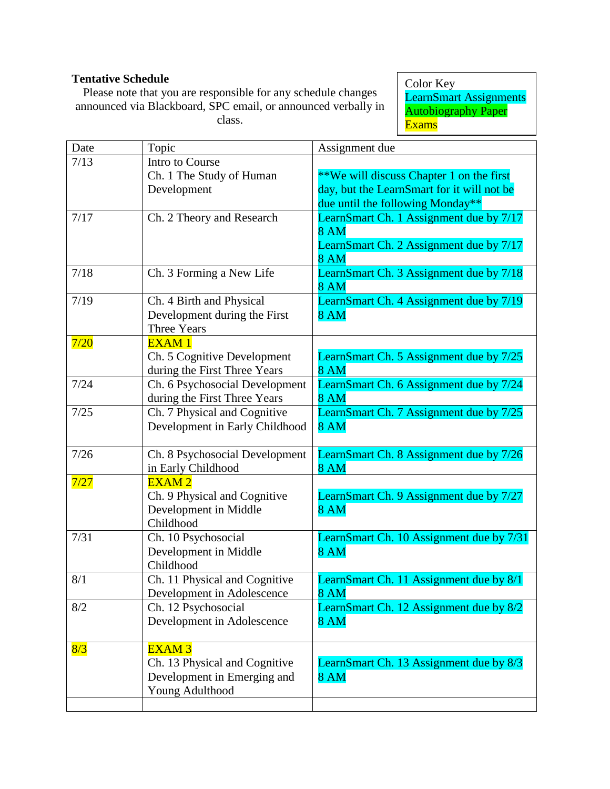# **Tentative Schedule**

Please note that you are responsible for any schedule changes announced via Blackboard, SPC email, or announced verbally in class.

Color Key LearnSmart Assignments **Autobiography Paper** Exams

| Date | Topic                          | Assignment due                             |
|------|--------------------------------|--------------------------------------------|
| 7/13 | Intro to Course                |                                            |
|      | Ch. 1 The Study of Human       | **We will discuss Chapter 1 on the first   |
|      | Development                    | day, but the LearnSmart for it will not be |
|      |                                | due until the following Monday**           |
| 7/17 | Ch. 2 Theory and Research      | LearnSmart Ch. 1 Assignment due by 7/17    |
|      |                                | <b>8 AM</b>                                |
|      |                                | LearnSmart Ch. 2 Assignment due by 7/17    |
|      |                                | <b>8 AM</b>                                |
| 7/18 | Ch. 3 Forming a New Life       | LearnSmart Ch. 3 Assignment due by 7/18    |
|      |                                | <b>8 AM</b>                                |
| 7/19 | Ch. 4 Birth and Physical       | LearnSmart Ch. 4 Assignment due by 7/19    |
|      | Development during the First   | <b>8 AM</b>                                |
|      | <b>Three Years</b>             |                                            |
| 7/20 | <b>EXAM1</b>                   |                                            |
|      | Ch. 5 Cognitive Development    | LearnSmart Ch. 5 Assignment due by 7/25    |
|      | during the First Three Years   | <b>8 AM</b>                                |
| 7/24 | Ch. 6 Psychosocial Development | LearnSmart Ch. 6 Assignment due by 7/24    |
|      | during the First Three Years   | <b>8 AM</b>                                |
| 7/25 | Ch. 7 Physical and Cognitive   | LearnSmart Ch. 7 Assignment due by 7/25    |
|      | Development in Early Childhood | <b>8 AM</b>                                |
| 7/26 | Ch. 8 Psychosocial Development | LearnSmart Ch. 8 Assignment due by 7/26    |
|      | in Early Childhood             | <b>8 AM</b>                                |
| 7/27 | <b>EXAM2</b>                   |                                            |
|      | Ch. 9 Physical and Cognitive   | LearnSmart Ch. 9 Assignment due by 7/27    |
|      | Development in Middle          | <b>8 AM</b>                                |
|      | Childhood                      |                                            |
| 7/31 | Ch. 10 Psychosocial            | LearnSmart Ch. 10 Assignment due by 7/31   |
|      | Development in Middle          | <b>8 AM</b>                                |
|      | Childhood                      |                                            |
| 8/1  | Ch. 11 Physical and Cognitive  | LearnSmart Ch. 11 Assignment due by 8/1    |
|      | Development in Adolescence     | <b>8 AM</b>                                |
| 8/2  | Ch. 12 Psychosocial            | LearnSmart Ch. 12 Assignment due by 8/2    |
|      | Development in Adolescence     | <b>8 AM</b>                                |
|      |                                |                                            |
| 8/3  | <b>EXAM3</b>                   |                                            |
|      | Ch. 13 Physical and Cognitive  | LearnSmart Ch. 13 Assignment due by 8/3    |
|      | Development in Emerging and    | <b>8 AM</b>                                |
|      | Young Adulthood                |                                            |
|      |                                |                                            |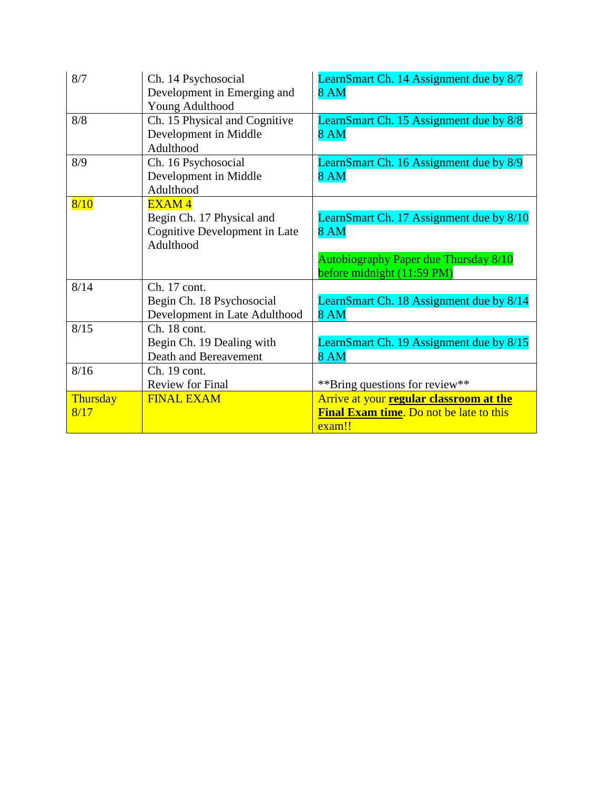| 8/7              | Ch. 14 Psychosocial<br>Development in Emerging and<br>Young Adulthood                   | LearnSmart Ch. 14 Assignment due by 8/7<br><b>8 AM</b>                                                                         |
|------------------|-----------------------------------------------------------------------------------------|--------------------------------------------------------------------------------------------------------------------------------|
| 8/8              | Ch. 15 Physical and Cognitive<br>Development in Middle<br>Adulthood                     | LearnSmart Ch. 15 Assignment due by 8/8<br><b>8 AM</b>                                                                         |
| 8/9              | Ch. 16 Psychosocial<br>Development in Middle<br>Adulthood                               | LearnSmart Ch. 16 Assignment due by 8/9<br><b>8 AM</b>                                                                         |
| 8/10             | <b>EXAM4</b><br>Begin Ch. 17 Physical and<br>Cognitive Development in Late<br>Adulthood | LearnSmart Ch. 17 Assignment due by 8/10<br><b>8 AM</b><br>Autobiography Paper due Thursday 8/10<br>before midnight (11:59 PM) |
| 8/14             | Ch. 17 cont.<br>Begin Ch. 18 Psychosocial<br>Development in Late Adulthood              | LearnSmart Ch. 18 Assignment due by 8/14<br><b>8 AM</b>                                                                        |
| 8/15             | Ch. 18 cont.<br>Begin Ch. 19 Dealing with<br>Death and Bereavement                      | LearnSmart Ch. 19 Assignment due by 8/15<br><b>8 AM</b>                                                                        |
| 8/16             | Ch. 19 cont.<br><b>Review for Final</b>                                                 | **Bring questions for review**                                                                                                 |
| Thursday<br>8/17 | <b>FINAL EXAM</b>                                                                       | Arrive at your regular classroom at the<br>Final Exam time. Do not be late to this<br>exam!!                                   |